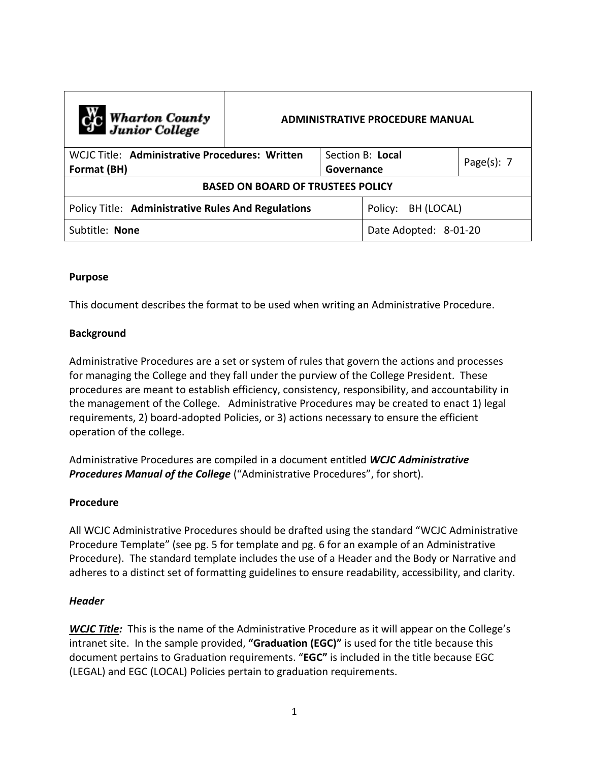| C <sub>o</sub> Wharton County<br>Junior College               | <b>ADMINISTRATIVE PROCEDURE MANUAL</b> |                       |                  |                |  |
|---------------------------------------------------------------|----------------------------------------|-----------------------|------------------|----------------|--|
| WCJC Title: Administrative Procedures: Written<br>Format (BH) |                                        | Governance            | Section B: Local | Page $(s)$ : 7 |  |
| <b>BASED ON BOARD OF TRUSTEES POLICY</b>                      |                                        |                       |                  |                |  |
| <b>Policy Title: Administrative Rules And Regulations</b>     |                                        | Policy:<br>BH (LOCAL) |                  |                |  |
| Subtitle: None                                                |                                        | Date Adopted: 8-01-20 |                  |                |  |

### **Purpose**

This document describes the format to be used when writing an Administrative Procedure.

### **Background**

Administrative Procedures are a set or system of rules that govern the actions and processes for managing the College and they fall under the purview of the College President. These procedures are meant to establish efficiency, consistency, responsibility, and accountability in the management of the College. Administrative Procedures may be created to enact 1) legal requirements, 2) board-adopted Policies, or 3) actions necessary to ensure the efficient operation of the college.

Administrative Procedures are compiled in a document entitled *WCJC Administrative Procedures Manual of the College* ("Administrative Procedures", for short).

#### **Procedure**

All WCJC Administrative Procedures should be drafted using the standard "WCJC Administrative Procedure Template" (see pg. 5 for template and pg. 6 for an example of an Administrative Procedure). The standard template includes the use of a Header and the Body or Narrative and adheres to a distinct set of formatting guidelines to ensure readability, accessibility, and clarity.

#### *Header*

*WCJC Title:* This is the name of the Administrative Procedure as it will appear on the College's intranet site. In the sample provided, **"Graduation (EGC)"** is used for the title because this document pertains to Graduation requirements. "**EGC"** is included in the title because EGC (LEGAL) and EGC (LOCAL) Policies pertain to graduation requirements.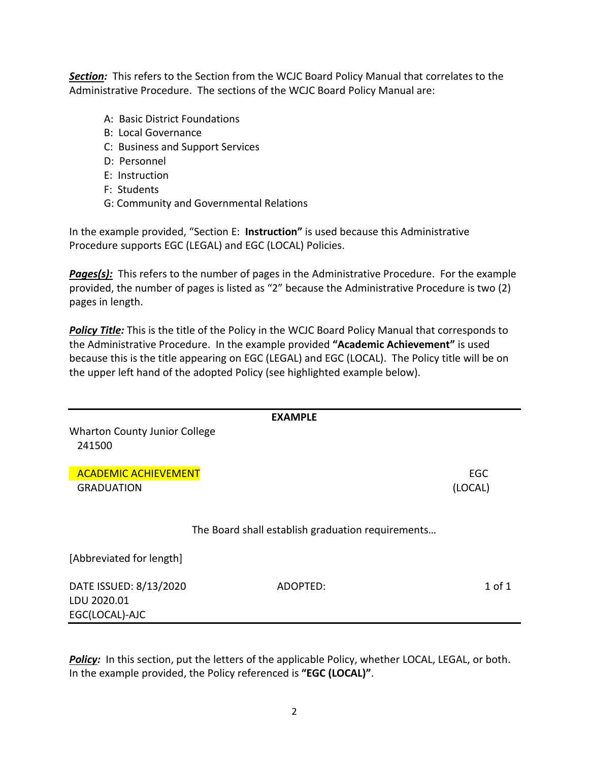*Section:* This refers to the Section from the WCJC Board Policy Manual that correlates to the Administrative Procedure. The sections of the WCJC Board Policy Manual are:

- A: Basic District Foundations
- B: Local Governance
- C: Business and Support Services
- D: Personnel
- E: Instruction
- F: Students
- G: Community and Governmental Relations

In the example provided, "Section E: **Instruction"** is used because this Administrative Procedure supports EGC (LEGAL) and EGC (LOCAL) Policies.

*Pages(s):* This refers to the number of pages in the Administrative Procedure. For the example provided, the number of pages is listed as "2" because the Administrative Procedure is two (2) pages in length.

*Policy Title:* This is the title of the Policy in the WCJC Board Policy Manual that corresponds to the Administrative Procedure. In the example provided **"Academic Achievement"** is used because this is the title appearing on EGC (LEGAL) and EGC (LOCAL). The Policy title will be on the upper left hand of the adopted Policy (see highlighted example below).

|                                                         | <b>EXAMPLE</b>                                    |                       |
|---------------------------------------------------------|---------------------------------------------------|-----------------------|
| <b>Wharton County Junior College</b><br>241500          |                                                   |                       |
| <b>ACADEMIC ACHIEVEMENT</b><br><b>GRADUATION</b>        |                                                   | <b>EGC</b><br>(LOCAL) |
|                                                         | The Board shall establish graduation requirements |                       |
| [Abbreviated for length]                                |                                                   |                       |
| DATE ISSUED: 8/13/2020<br>LDU 2020.01<br>EGC(LOCAL)-AJC | ADOPTED:                                          | $1$ of $1$            |

Policy: In this section, put the letters of the applicable Policy, whether LOCAL, LEGAL, or both. In the example provided, the Policy referenced is **"EGC (LOCAL)"**.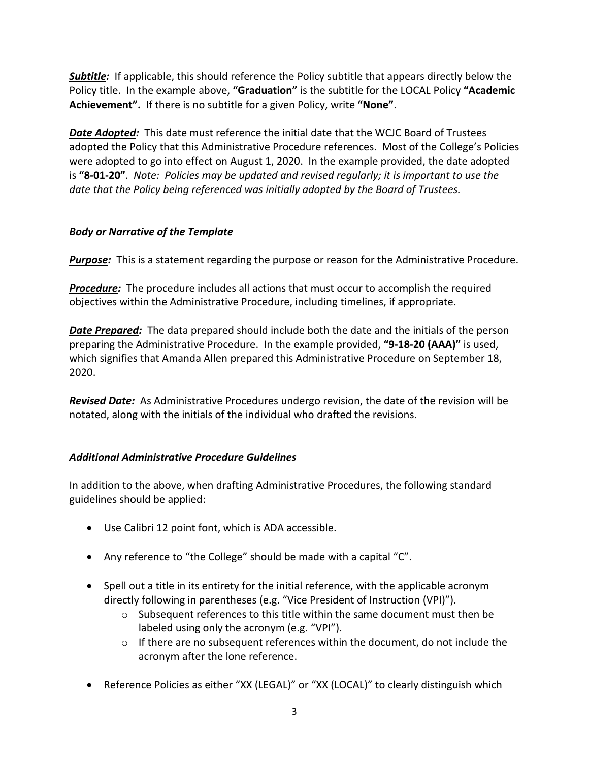*Subtitle:* If applicable, this should reference the Policy subtitle that appears directly below the Policy title. In the example above, **"Graduation"** is the subtitle for the LOCAL Policy **"Academic Achievement".** If there is no subtitle for a given Policy, write **"None"**.

*Date Adopted:* This date must reference the initial date that the WCJC Board of Trustees adopted the Policy that this Administrative Procedure references. Most of the College's Policies were adopted to go into effect on August 1, 2020. In the example provided, the date adopted is **"8-01-20"**. *Note: Policies may be updated and revised regularly; it is important to use the date that the Policy being referenced was initially adopted by the Board of Trustees.*

## *Body or Narrative of the Template*

*Purpose:* This is a statement regarding the purpose or reason for the Administrative Procedure.

*Procedure:* The procedure includes all actions that must occur to accomplish the required objectives within the Administrative Procedure, including timelines, if appropriate.

**Date Prepared:** The data prepared should include both the date and the initials of the person preparing the Administrative Procedure. In the example provided, **"9-18-20 (AAA)"** is used, which signifies that Amanda Allen prepared this Administrative Procedure on September 18, 2020.

*Revised Date:* As Administrative Procedures undergo revision, the date of the revision will be notated, along with the initials of the individual who drafted the revisions.

## *Additional Administrative Procedure Guidelines*

In addition to the above, when drafting Administrative Procedures, the following standard guidelines should be applied:

- Use Calibri 12 point font, which is ADA accessible.
- Any reference to "the College" should be made with a capital "C".
- Spell out a title in its entirety for the initial reference, with the applicable acronym directly following in parentheses (e.g. "Vice President of Instruction (VPI)").
	- o Subsequent references to this title within the same document must then be labeled using only the acronym (e.g. "VPI").
	- $\circ$  If there are no subsequent references within the document, do not include the acronym after the lone reference.
- Reference Policies as either "XX (LEGAL)" or "XX (LOCAL)" to clearly distinguish which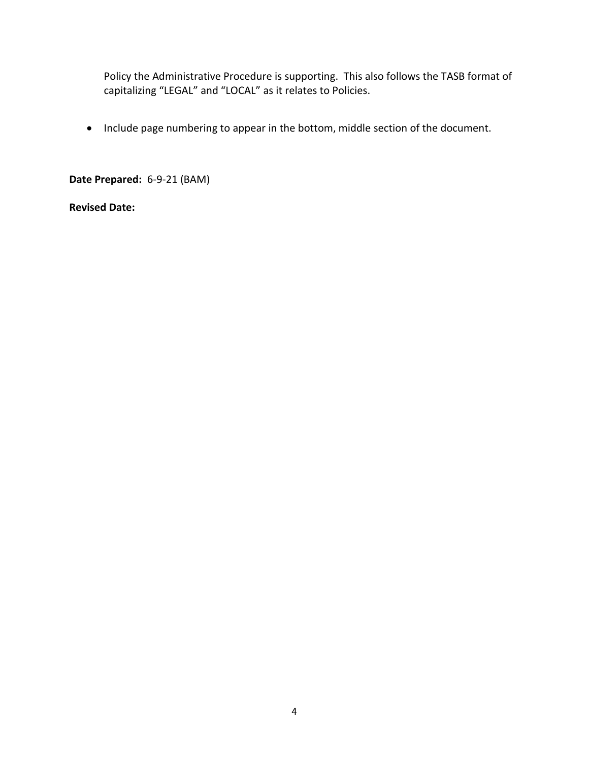Policy the Administrative Procedure is supporting. This also follows the TASB format of capitalizing "LEGAL" and "LOCAL" as it relates to Policies.

• Include page numbering to appear in the bottom, middle section of the document.

**Date Prepared:** 6-9-21 (BAM)

**Revised Date:**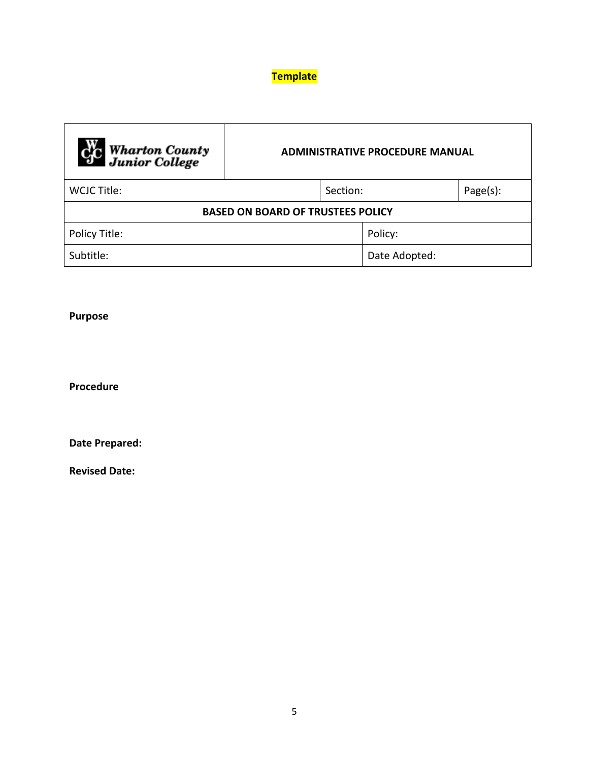# **Template**

| <b>Cry Wharton County</b><br>Junior College | <b>ADMINISTRATIVE PROCEDURE MANUAL</b> |          |               |          |  |
|---------------------------------------------|----------------------------------------|----------|---------------|----------|--|
| WCJC Title:                                 |                                        | Section: |               | Page(s): |  |
| <b>BASED ON BOARD OF TRUSTEES POLICY</b>    |                                        |          |               |          |  |
| Policy Title:                               |                                        |          | Policy:       |          |  |
| Subtitle:                                   |                                        |          | Date Adopted: |          |  |

# **Purpose**

**Procedure**

**Date Prepared:**

**Revised Date:**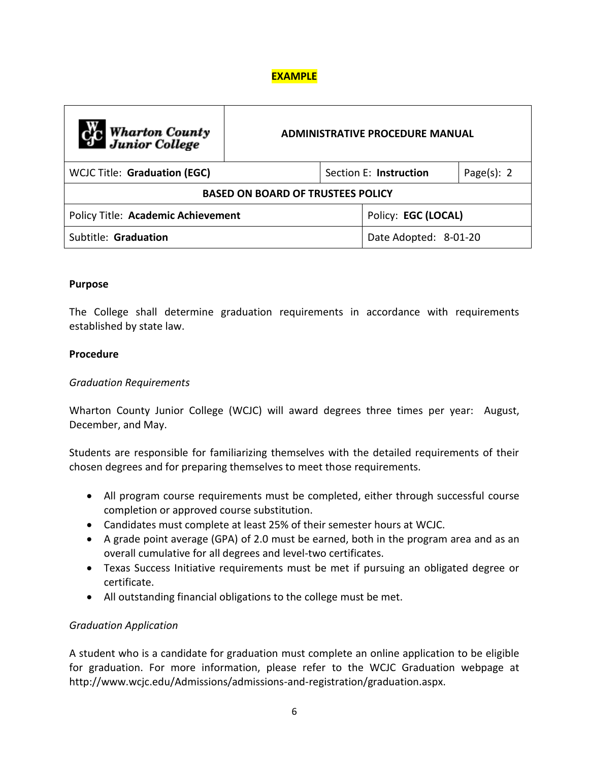# **EXAMPLE**

| <b>Computer</b> Wharton County           | ADMINISTRATIVE PROCEDURE MANUAL |                       |                        |                |  |  |
|------------------------------------------|---------------------------------|-----------------------|------------------------|----------------|--|--|
| <b>WCJC Title: Graduation (EGC)</b>      |                                 |                       | Section E: Instruction | Page $(s)$ : 2 |  |  |
| <b>BASED ON BOARD OF TRUSTEES POLICY</b> |                                 |                       |                        |                |  |  |
| Policy Title: Academic Achievement       |                                 | Policy: EGC (LOCAL)   |                        |                |  |  |
| Subtitle: Graduation                     |                                 | Date Adopted: 8-01-20 |                        |                |  |  |

### **Purpose**

The College shall determine graduation requirements in accordance with requirements established by state law.

### **Procedure**

### *Graduation Requirements*

Wharton County Junior College (WCJC) will award degrees three times per year: August, December, and May.

Students are responsible for familiarizing themselves with the detailed requirements of their chosen degrees and for preparing themselves to meet those requirements.

- All program course requirements must be completed, either through successful course completion or approved course substitution.
- Candidates must complete at least 25% of their semester hours at WCJC.
- A grade point average (GPA) of 2.0 must be earned, both in the program area and as an overall cumulative for all degrees and level-two certificates.
- Texas Success Initiative requirements must be met if pursuing an obligated degree or certificate.
- All outstanding financial obligations to the college must be met.

### *Graduation Application*

A student who is a candidate for graduation must complete an online application to be eligible for graduation. For more information, please refer to the WCJC Graduation webpage at http://www.wcjc.edu/Admissions/admissions-and-registration/graduation.aspx.